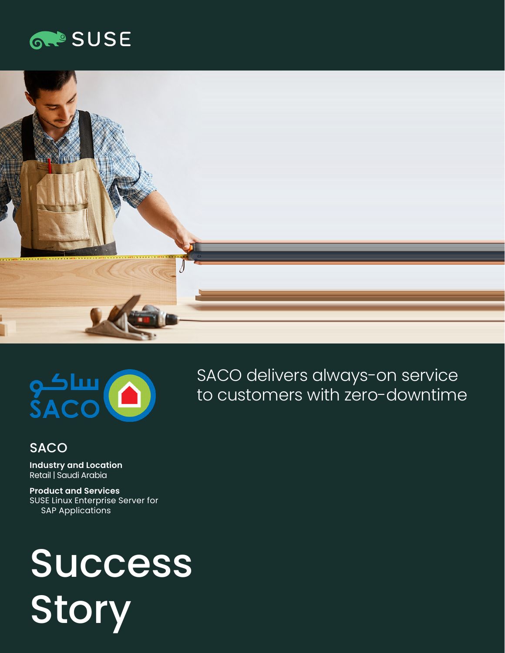## **GROSUSE**





### SACO delivers always-on service to customers with zero-downtime

#### **SACO**

**Industry and Location**  Retail | Saudi Arabia

**Product and Services**  SUSE Linux Enterprise Server for SAP Applications

# Success Story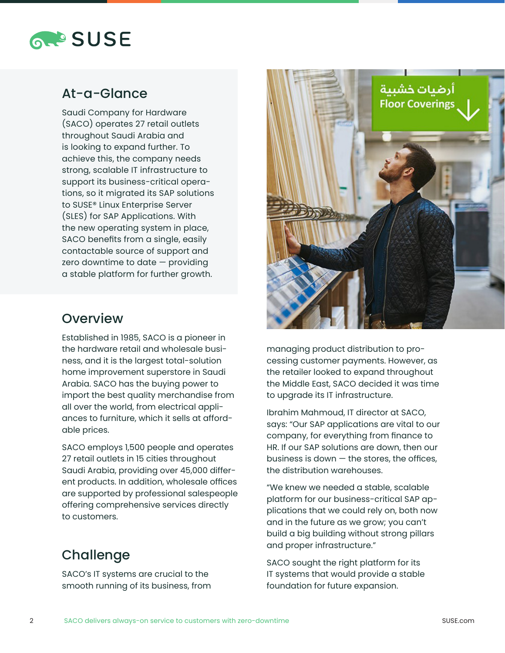

#### At-a-Glance

Saudi Company for Hardware (SACO) operates 27 retail outlets throughout Saudi Arabia and is looking to expand further. To achieve this, the company needs strong, scalable IT infrastructure to support its business-critical operations, so it migrated its SAP solutions to SUSE® Linux Enterprise Server (SLES) for SAP Applications. With the new operating system in place, SACO benefits from a single, easily contactable source of support and zero downtime to date  $-$  providing a stable platform for further growth.



#### **Overview**

Established in 1985, SACO is a pioneer in the hardware retail and wholesale business, and it is the largest total-solution home improvement superstore in Saudi Arabia. SACO has the buying power to import the best quality merchandise from all over the world, from electrical appliances to furniture, which it sells at affordable prices.

SACO employs 1,500 people and operates 27 retail outlets in 15 cities throughout Saudi Arabia, providing over 45,000 different products. In addition, wholesale offices are supported by professional salespeople offering comprehensive services directly to customers.

#### **Challenge**

SACO's IT systems are crucial to the smooth running of its business, from

managing product distribution to processing customer payments. However, as the retailer looked to expand throughout the Middle East, SACO decided it was time to upgrade its IT infrastructure.

Ibrahim Mahmoud, IT director at SACO, says: "Our SAP applications are vital to our company, for everything from finance to HR. If our SAP solutions are down, then our business is down  $-$  the stores, the offices, the distribution warehouses.

"We knew we needed a stable, scalable platform for our business-critical SAP applications that we could rely on, both now and in the future as we grow; you can't build a big building without strong pillars and proper infrastructure."

SACO sought the right platform for its IT systems that would provide a stable foundation for future expansion.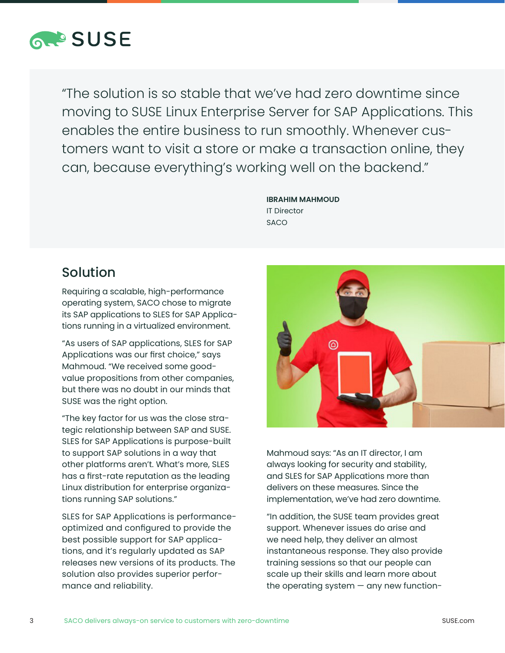

"The solution is so stable that we've had zero downtime since moving to SUSE Linux Enterprise Server for SAP Applications. This enables the entire business to run smoothly. Whenever customers want to visit a store or make a transaction online, they can, because everything's working well on the backend."

> **IBRAHIM MAHMOUD**  IT Director **SACO**

#### Solution

Requiring a scalable, high-performance operating system, SACO chose to migrate its SAP applications to SLES for SAP Applications running in a virtualized environment.

"As users of SAP applications, SLES for SAP Applications was our first choice," says Mahmoud. "We received some goodvalue propositions from other companies, but there was no doubt in our minds that SUSE was the right option.

"The key factor for us was the close strategic relationship between SAP and SUSE. SLES for SAP Applications is purpose-built to support SAP solutions in a way that other platforms aren't. What's more, SLES has a first-rate reputation as the leading Linux distribution for enterprise organizations running SAP solutions."

SLES for SAP Applications is performanceoptimized and configured to provide the best possible support for SAP applications, and it's regularly updated as SAP releases new versions of its products. The solution also provides superior performance and reliability.



Mahmoud says: "As an IT director, I am always looking for security and stability, and SLES for SAP Applications more than delivers on these measures. Since the implementation, we've had zero downtime.

"In addition, the SUSE team provides great support. Whenever issues do arise and we need help, they deliver an almost instantaneous response. They also provide training sessions so that our people can scale up their skills and learn more about the operating system  $-$  any new function-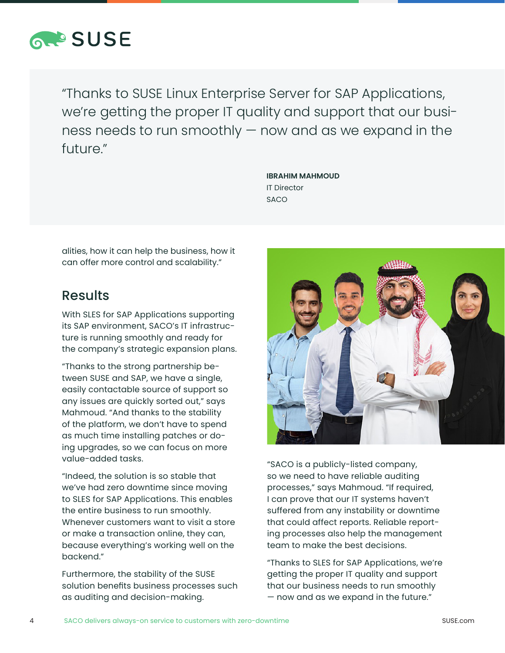

"Thanks to SUSE Linux Enterprise Server for SAP Applications, we're getting the proper IT quality and support that our business needs to run smoothly — now and as we expand in the future."

> **IBRAHIM MAHMOUD**  IT Director SACO

alities, how it can help the business, how it can offer more control and scalability."

#### Results

With SLES for SAP Applications supporting its SAP environment, SACO's IT infrastructure is running smoothly and ready for the company's strategic expansion plans.

"Thanks to the strong partnership between SUSE and SAP, we have a single, easily contactable source of support so any issues are quickly sorted out," says Mahmoud. "And thanks to the stability of the platform, we don't have to spend as much time installing patches or doing upgrades, so we can focus on more value-added tasks.

"Indeed, the solution is so stable that we've had zero downtime since moving to SLES for SAP Applications. This enables the entire business to run smoothly. Whenever customers want to visit a store or make a transaction online, they can, because everything's working well on the backend."

Furthermore, the stability of the SUSE solution benefits business processes such as auditing and decision-making.



"SACO is a publicly-listed company, so we need to have reliable auditing processes," says Mahmoud. "If required, I can prove that our IT systems haven't suffered from any instability or downtime that could affect reports. Reliable reporting processes also help the management team to make the best decisions.

"Thanks to SLES for SAP Applications, we're getting the proper IT quality and support that our business needs to run smoothly — now and as we expand in the future."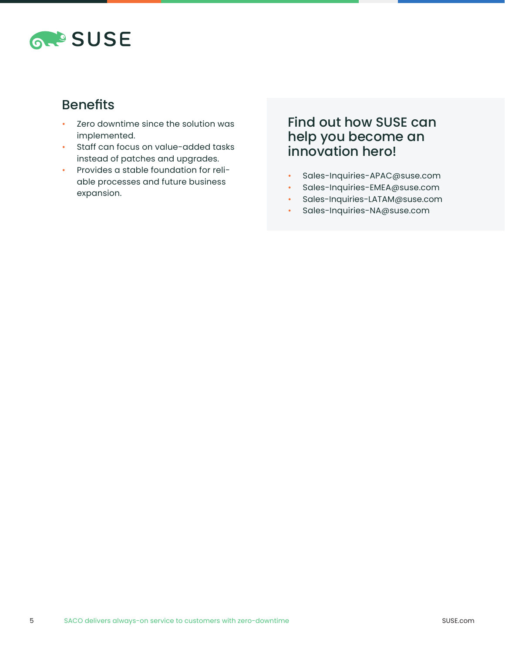

#### Benefits

- Zero downtime since the solution was implemented.
- Staff can focus on value-added tasks instead of patches and upgrades.
- Provides a stable foundation for reliable processes and future business expansion.

#### Find out how SUSE can help you become an innovation hero!

- Sales-Inquiries-APAC@suse.com
- Sales-Inquiries-EMEA@suse.com
- Sales-Inquiries-LATAM@suse.com
- Sales-Inquiries-NA@suse.com